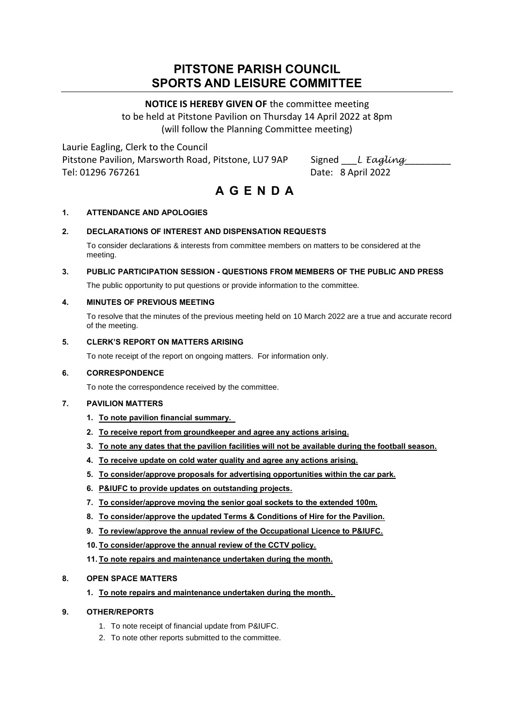## **PITSTONE PARISH COUNCIL SPORTS AND LEISURE COMMITTEE**

## **NOTICE IS HEREBY GIVEN OF** the committee meeting

to be held at Pitstone Pavilion on Thursday 14 April 2022 at 8pm (will follow the Planning Committee meeting)

Laurie Eagling, Clerk to the Council Pitstone Pavilion, Marsworth Road, Pitstone, LU7 9AP Signed \_\_*L Eagling* Tel: 01296 767261 Date: 8 April 2022

# **A G E N D A**

### **1. ATTENDANCE AND APOLOGIES**

### **2. DECLARATIONS OF INTEREST AND DISPENSATION REQUESTS**

To consider declarations & interests from committee members on matters to be considered at the meeting.

### **3. PUBLIC PARTICIPATION SESSION - QUESTIONS FROM MEMBERS OF THE PUBLIC AND PRESS**

The public opportunity to put questions or provide information to the committee.

#### **4. MINUTES OF PREVIOUS MEETING**

To resolve that the minutes of the previous meeting held on 10 March 2022 are a true and accurate record of the meeting.

#### **5. CLERK'S REPORT ON MATTERS ARISING**

To note receipt of the report on ongoing matters. For information only.

#### **6. CORRESPONDENCE**

To note the correspondence received by the committee.

#### **7. PAVILION MATTERS**

- **1. To note pavilion financial summary.**
- **2. To receive report from groundkeeper and agree any actions arising.**
- **3. To note any dates that the pavilion facilities will not be available during the football season.**
- **4. To receive update on cold water quality and agree any actions arising.**
- **5. To consider/approve proposals for advertising opportunities within the car park.**
- **6. P&IUFC to provide updates on outstanding projects.**
- **7. To consider/approve moving the senior goal sockets to the extended 100m.**
- **8. To consider/approve the updated Terms & Conditions of Hire for the Pavilion.**
- **9. To review/approve the annual review of the Occupational Licence to P&IUFC.**
- **10. To consider/approve the annual review of the CCTV policy.**
- **11. To note repairs and maintenance undertaken during the month.**

#### **8. OPEN SPACE MATTERS**

**1. To note repairs and maintenance undertaken during the month.**

#### **9. OTHER/REPORTS**

- 1. To note receipt of financial update from P&IUFC.
- 2. To note other reports submitted to the committee.